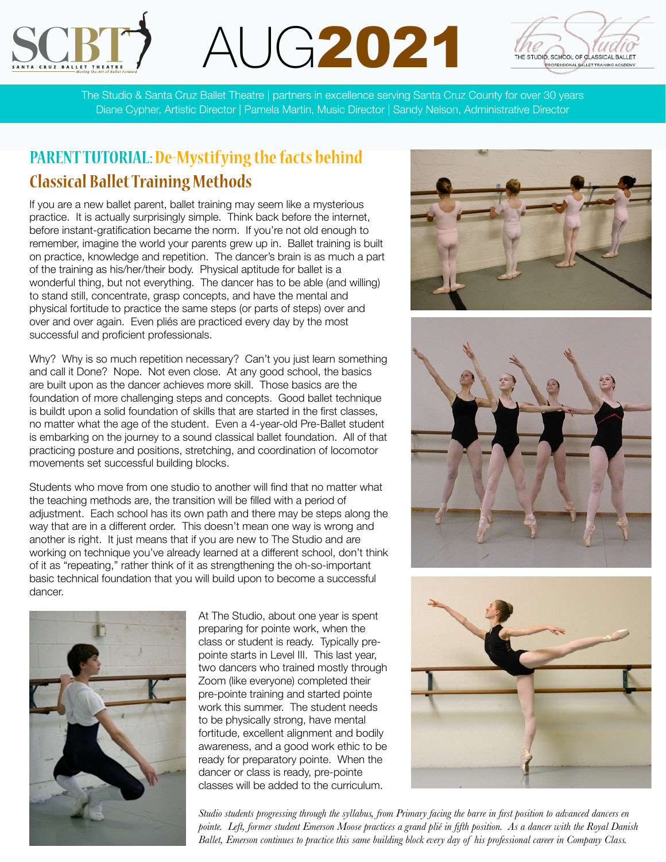





The Studio & Santa Cruz Ballet Theatre | partners in excellence serving Santa Cruz County for over 30 years Diane Cypher, Artistic Director | Pamela Martin, Music Director | Sandy Nelson, Administrative Director

## **PARENT TUTORIAL:De-Mystifying the facts behind Classical Ballet Training Methods**

If you are a new ballet parent, ballet training may seem like a mysterious practice. It is actually surprisingly simple. Think back before the internet, before instant-gratification became the norm. If you're not old enough to remember, imagine the world your parents grew up in. Ballet training is built on practice, knowledge and repetition. The dancer's brain is as much a part of the training as his/her/their body. Physical aptitude for ballet is a wonderful thing, but not everything. The dancer has to be able (and willing) to stand still, concentrate, grasp concepts, and have the mental and physical fortitude to practice the same steps (or parts of steps) over and over and over again. Even pliés are practiced every day by the most successful and proficient professionals.

Why? Why is so much repetition necessary? Can't you just learn something and call it Done? Nope. Not even close. At any good school, the basics are built upon as the dancer achieves more skill. Those basics are the foundation of more challenging steps and concepts. Good ballet technique is buildt upon a solid foundation of skills that are started in the first classes, no matter what the age of the student. Even a 4-year-old Pre-Ballet student is embarking on the journey to a sound classical ballet foundation. All of that practicing posture and positions, stretching, and coordination of locomotor movements set successful building blocks.

Students who move from one studio to another will find that no matter what the teaching methods are, the transition will be filled with a period of adjustment. Each school has its own path and there may be steps along the way that are in a different order. This doesn't mean one way is wrong and another is right. It just means that if you are new to The Studio and are working on technique you've already learned at a different school, don't think of it as "repeating," rather think of it as strengthening the oh-so-important basic technical foundation that you will build upon to become a successful dancer.



At The Studio, about one year is spent preparing for pointe work, when the class or student is ready. Typically prepointe starts in Level III. This last year, two dancers who trained mostly through Zoom (like everyone) completed their pre-pointe training and started pointe work this summer. The student needs to be physically strong, have mental fortitude, excellent alignment and bodily awareness, and a good work ethic to be ready for preparatory pointe. When the dancer or class is ready, pre-pointe classes will be added to the curriculum.







*Studio students progressing through the syllabus, from Primary facing the barre in first position to advanced dancers en pointe. Left, former student Emerson Moose practices a grand plié in fifth position. As a dancer with the Royal Danish Ballet, Emerson continues to practice this same building block every day of his professional career in Company Class.*